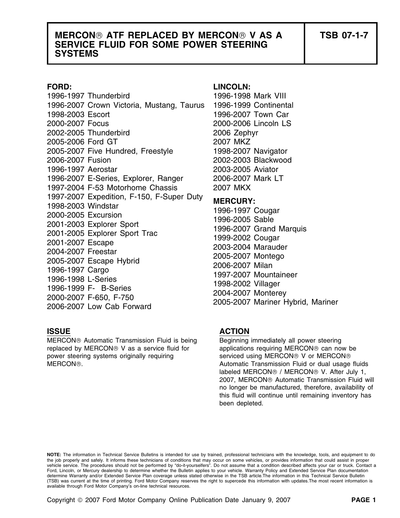## **MERCON ATF REPLACED BY MERCON V AS A TSB 07-1-7 SERVICE FLUID FOR SOME POWER STEERING SYSTEMS**

1996-1997 Thunderbird 1996-1998 Mark VIII 1996-2007 Crown Victoria, Mustang, Taurus 1996-1999 Continental 1998-2003 Escort 1996-2007 Town Car 2000-2007 Focus 2000-2006 Lincoln LS 2002-2005 Thunderbird 2006 Zephyr 2005-2006 Ford GT 2007 MKZ 2005-2007 Five Hundred, Freestyle 1998-2007 Navigator 2006-2007 Fusion 2002-2003 Blackwood 1996-1997 Aerostar 2003-2005 Aviator 1996-2007 E-Series, Explorer, Ranger 2006-2007 Mark LT 1997-2004 F-53 Motorhome Chassis 2007 MKX 1997-2007 Expedition, F-150, F-Super Duty<br>
1998-2003 Windstar<br>
2000-2005 Excursion<br>
2001-2003 Explorer Sport<br>
2001-2005 Explorer Sport<br>
2001-2005 Explorer Sport<br>
2001-2007 Escape<br>
2004-2007 Freestar<br>
2005-2007 Escape Hybri

MERCON® Automatic Transmission Fluid is being Beginning immediately all power steering replaced by MERCON<sup>®</sup> V as a service fluid for applications requiring MERCON<sup>®</sup> can now be power steering systems originally requiring serviced using MERCON® V or MERCON® MERCON®. **Automatic Transmission Fluid or dual usage fluids** Automatic Transmission Fluid or dual usage fluids

### **FORD: LINCOLN:**

### **ISSUE ACTION**

labeled MERCON<sup>®</sup> / MERCON<sup>®</sup> V. After July 1, 2007, MERCON<sup>®</sup> Automatic Transmission Fluid will no longer be manufactured, therefore, availability of this fluid will continue until remaining inventory has been depleted.

**NOTE:** The information in Technical Service Bulletins is intended for use by trained, professional technicians with the knowledge, tools, and equipment to do the job properly and safely. It informs these technicians of conditions that may occur on some vehicles, or provides information that could assist in proper<br>vehicle service. The procedures should not be performed by "do-it Ford, Lincoln, or Mercury dealership to determine whether the Bulletin applies to your vehicle. Warranty Policy and Extended Service Plan documentation determine Warranty and/or Extended Service Plan coverage unless stated otherwise in the TSB article.The information in this Technical Service Bulletin (TSB) was current at the time of printing. Ford Motor Company reserves the right to supercede this information with updates.The most recent information is available through Ford Motor Company's on-line technical resources.